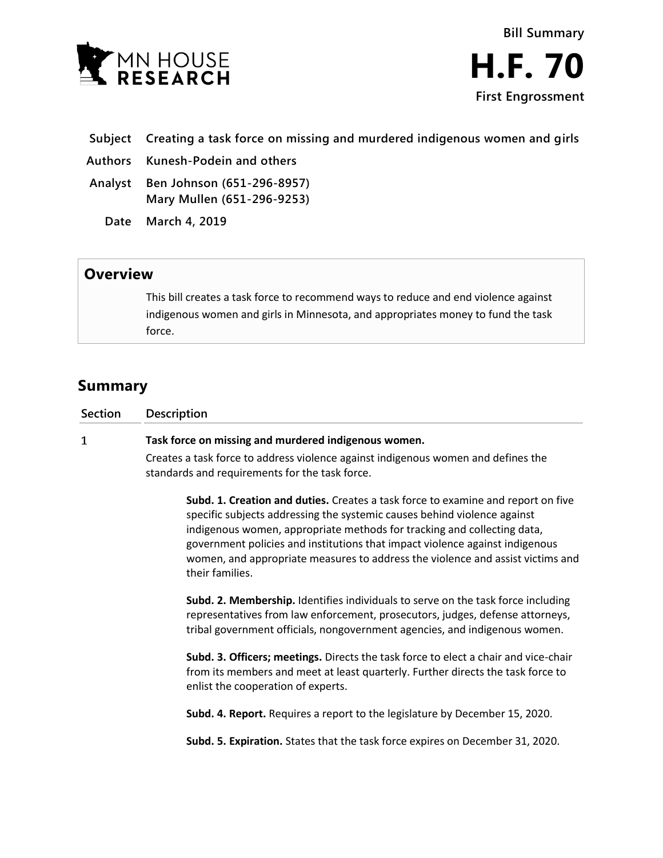

- **Subject Creating a task force on missing and murdered indigenous women and girls**
- **Authors Kunesh-Podein and others**
- **Analyst Ben Johnson (651-296-8957) Mary Mullen (651-296-9253)**
	- **Date March 4, 2019**

## **Overview**

This bill creates a task force to recommend ways to reduce and end violence against indigenous women and girls in Minnesota, and appropriates money to fund the task force.

## **Summary**

| Section | <b>Description</b>                                   |          |
|---------|------------------------------------------------------|----------|
|         | Task force on missing and murdered indigenous women. |          |
|         |                                                      | $\cdots$ |

Creates a task force to address violence against indigenous women and defines the standards and requirements for the task force.

**Subd. 1. Creation and duties.** Creates a task force to examine and report on five specific subjects addressing the systemic causes behind violence against indigenous women, appropriate methods for tracking and collecting data, government policies and institutions that impact violence against indigenous women, and appropriate measures to address the violence and assist victims and their families.

**Subd. 2. Membership.** Identifies individuals to serve on the task force including representatives from law enforcement, prosecutors, judges, defense attorneys, tribal government officials, nongovernment agencies, and indigenous women.

**Subd. 3. Officers; meetings.** Directs the task force to elect a chair and vice-chair from its members and meet at least quarterly. Further directs the task force to enlist the cooperation of experts.

**Subd. 4. Report.** Requires a report to the legislature by December 15, 2020.

**Subd. 5. Expiration.** States that the task force expires on December 31, 2020.